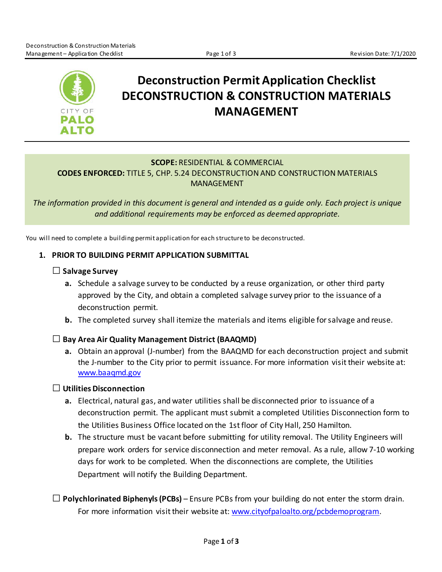

# **Deconstruction Permit Application Checklist DECONSTRUCTION & CONSTRUCTION MATERIALS MANAGEMENT**

# **SCOPE:** RESIDENTIAL & COMMERCIAL **CODES ENFORCED:** TITLE 5, CHP. 5.24 DECONSTRUCTION AND CONSTRUCTION MATERIALS MANAGEMENT

*The information provided in this document is general and intended as a guide only. Each project is unique and additional requirements may be enforced as deemed appropriate.*

You will need to complete a building permit application for each structure to be deconstructed.

# **1. PRIOR TO BUILDING PERMIT APPLICATION SUBMITTAL**

# □**Salvage Survey**

- **a.** Schedule a salvage survey to be conducted by a reuse organization, or other third party approved by the City, and obtain a completed salvage survey prior to the issuance of a deconstruction permit.
- **b.** The completed survey shall itemize the materials and items eligible for salvage and reuse.

# □**Bay Area Air Quality Management District (BAAQMD)**

**a.** Obtain an approval (J-number) from the BAAQMD for each deconstruction project and submit the J-number to the City prior to permit issuance. For more information visit their website at: [www.baaqmd.gov](http://www.baaqmd.gov/)

# □ **Utilities Disconnection**

- **a.** Electrical, natural gas, and water utilities shall be disconnected prior to issuance of a deconstruction permit. The applicant must submit a completed Utilities Disconnection form to the Utilities Business Office located on the 1st floor of City Hall, 250 Hamilton.
- **b.** The structure must be vacant before submitting for utility removal. The Utility Engineers will prepare work orders for service disconnection and meter removal. As a rule, allow 7-10 working days for work to be completed. When the disconnections are complete, the Utilities Department will notify the Building Department.
- $\Box$  Polychlorinated Biphenyls (PCBs) Ensure PCBs from your building do not enter the storm drain. For more information visit their website at: [www.cityofpaloalto.org/pcbdemoprogram.](http://www.cityofpaloalto.org/pcbdemoprogram)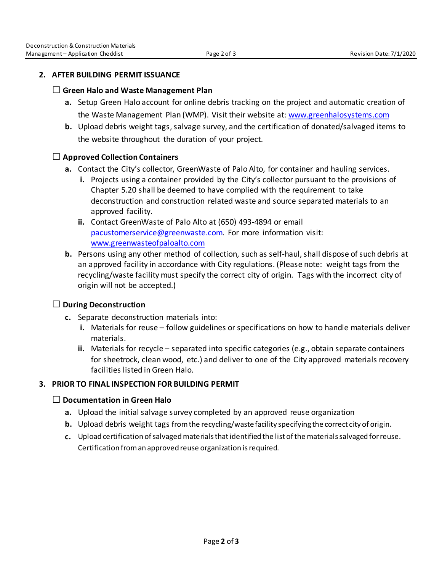#### **2. [AFTER](http://www.cityofpaloalto.org/civicax/filebank/documents/30629) BUILDING PERMIT ISSUANCE**

#### □ **Green Halo and Waste Management Plan**

- **a.** Setup Green Halo account for online debris tracking on the project and automatic creation of the Waste Management Plan (WMP). Visit their website at: [www.greenhalosystems.com](http://www.greenhalosystems.com/)
- **b.** Upload debris weight tags, salvage survey, and the certification of donated/salvaged items to the website throughout the duration of your project.

# □ **Approved Collection Containers**

- **a.** Contact the City's collector, GreenWaste of Palo Alto, for container and hauling services.
	- **i.** Projects using a container provided by the City's collector pursuant to the provisions of Chapter 5.20 shall be deemed to have complied with the requirement to take deconstruction and construction related waste and source separated materials to an approved facility.
	- **ii.** Contact GreenWaste of Palo Alto at (650) 493-4894 or email [pacustomerservice@greenwaste.com.](mailto:pacustomerservice@greenwaste.com) For more information visit: [www.greenwasteofpaloalto.com](http://www.greenwasteofpaloalto.com/)
- **b.** Persons using any other method of collection, such as self-haul, shall dispose of such debris at an approved facility in accordance with City regulations. (Please note: weight tags from the recycling/waste facility must specify the correct city of origin. Tags with the incorrect city of origin will not be accepted.)

# □ **During Deconstruction**

- **c.** Separate deconstruction materials into:
	- **i.** Materials for reuse follow guidelines or specifications on how to handle materials deliver materials.
	- **ii.** Materials for recycle separated into specific categories (e.g., obtain separate containers for sheetrock, clean wood, etc.) and deliver to one of the City approved materials recovery facilities listed in Green Halo.

# **3. PRIOR TO FINAL INSPECTION FOR BUILDING PERMIT**

#### □ **Documentation in Green Halo**

- **a.** Upload the initial salvage survey completed by an approved reuse organization
- **b.** Upload debris weight tags from the recycling/waste facility specifying the correct city of origin.
- **c.** Upload certification of salvaged materialsthat identified the list of the materials salvaged for reuse. Certification from an approved reuse organization is required.